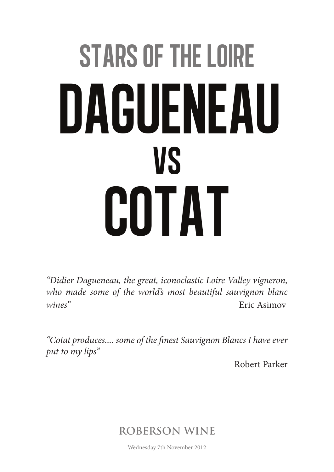## stars of the loire **DAGUENEAU** vs COTAT

*"Didier Dagueneau, the great, iconoclastic Loire Valley vigneron, who made some of the world's most beautiful sauvignon blanc wines"* Eric Asimov

*"Cotat produces.... some of the finest Sauvignon Blancs I have ever put to my lips"*

Robert Parker

**ROBERSON WINE**

Wednesday 7th November 2012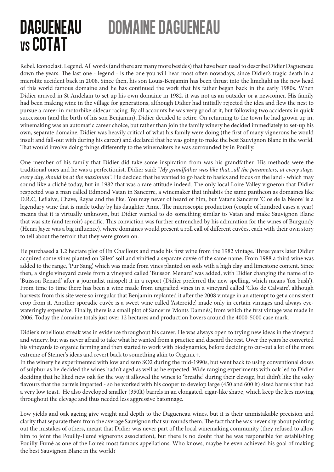## dagueneau vs **COTAT** domaine dagueneau

Rebel. Iconoclast. Legend. All words (and there are many more besides) that have been used to describe Didier Dagueneau down the years. The last one - legend - is the one you will hear most often nowadays, since Didier's tragic death in a microlite accident back in 2008. Since then, his son Louis-Benjamin has been thrust into the limelight as the new head of this world famous domaine and he has continued the work that his father began back in the early 1980s. When Didier arrived in St Andelain to set up his own domaine in 1982, it was not as an outsider or a newcomer. His family had been making wine in the village for generations, although Didier had initially rejected the idea and flew the nest to pursue a career in motorbike-sidecar racing. By all accounts he was very good at it, but following two accidents in quick succession (and the birth of his son Benjamin), Didier decided to retire. On returning to the town he had grown up in, winemaking was an automatic career choice, but rather than join the family winery he decided immediately to set-up his own, separate domaine. Didier was heavily critical of what his family were doing (the first of many vignerons he would insult and fall-out with during his career) and declared that he was going to make the best Sauvignon Blanc in the world. That would involve doing things differently to the winemakers he was surrounded by in Pouilly.

One member of his family that Didier did take some inspiration from was his grandfather. His methods were the traditional ones and he was a perfectionist. Didier said: *"My grandfather was like that...all the parameters, at every stage, every day, should be at the maximum"*. He decided that he wanted to go back to basics and focus on the land - which may sound like a cliché today, but in 1982 that was a rare attitude indeed. The only local Loire Valley vigneron that Didier respected was a man called Edmond Vatan in Sancerre, a winemaker that inhabits the same pantheon as domaines like D.R.C, Leflaive, Chave, Rayas and the like. You may never of heard of him, but Vatan's Sancerre 'Clos de la Neore' is a legendary wine that is made today by his daughter Anne. The microscopic production (couple of hundred cases a year) means that it is virtually unknown, but Didier wanted to do something similar to Vatan and make Sauvignon Blanc that was site (and terroir) specific. This conviction was further entrenched by his admiration for the wines of Burgundy (Henri Jayer was a big influence), where domaines would present a roll call of different cuvées, each with their own story to tell about the terroir that they were grown on.

He purchased a 1.2 hectare plot of En Chailloux and made his first wine from the 1982 vintage. Three years later Didier acquired some vines planted on 'Silex' soil and vinified a separate cuvée of the same name. From 1988 a third wine was added to the range, 'Pur Sang', which was made from vines planted on soils with a high clay and limestone content. Since then, a single vineyard cuvée from a vineyard called 'Buisson Menard' was added, with Didier changing the name of to 'Buisson Renard' after a journalist misspelt it in a report (Didier preferred the new spelling, which means 'fox bush'). From time to time there has been a wine made from ungrafted vines in a vineyard called 'Clos de Calvaire', although harvests from this site were so irregular that Benjamin replanted it after the 2008 vintage in an attempt to get a consistent crop from it. Another sporadic cuvée is a sweet wine called 'Asteroide', made only in certain vintages and always eyewateringly expensive. Finally, there is a small plot of Sancerre 'Monts Damnés', from which the first vintage was made in 2006. Today the domaine totals just over 12 hectares and production hovers around the 4000-5000 case mark.

Didier's rebellious streak was in evidence throughout his career. He was always open to trying new ideas in the vineyard and winery, but was never afraid to take what he wanted from a practice and discard the rest. Over the years he converted his vineyards to organic farming and then started to work with biodynamics, before deciding to cut-out a lot of the more extreme of Steiner's ideas and revert back to something akin to Organic+.

In the winery he experimented with low and zero SO2 during the mid-1990s, but went back to using conventional doses of sulphur as he decided the wines hadn't aged as well as he expected. Wide ranging experiments with oak led to Didier deciding that he liked new oak for the way it allowed the wines to 'breathe' during their elevage, but didn't like the oaky flavours that the barrels imparted - so he worked with his cooper to develop large (450 and 600 lt) sized barrels that had a very low toast. He also developed smaller (350lt) barrels in an elongated, cigar-like shape, which keep the lees moving throughout the elevage and thus needed less aggressive batonnage.

Low yields and oak ageing give weight and depth to the Dagueneau wines, but it is their unmistakable precision and clarity that separate them from the average Sauvignon that surrounds them. The fact that he was never shy about pointing out the mistakes of others, meant that Didier was never part of the local winemaking community (they refused to allow him to joint the Pouilly-Fumé vignerons association), but there is no doubt that he was responsible for establishing Pouilly-Fumé as one of the Loire's most famous appellations. Who knows, maybe he even achieved his goal of making the best Sauvignon Blanc in the world?